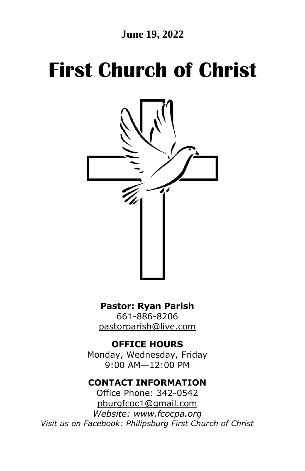# **First Church of Christ**



**Pastor: Ryan Parish**  661-886-8206

[pastorparish@live.com](mailto:pastorparish@live.com)

**OFFICE HOURS**

Monday, Wednesday, Friday 9:00 AM—12:00 PM

#### **CONTACT INFORMATION**

Office Phone: 342-0542 [pburgfcoc1@gmail.com](mailto:pburgfcoc1@gmail.com) *Website: www.fcocpa.org Visit us on Facebook: Philipsburg First Church of Christ*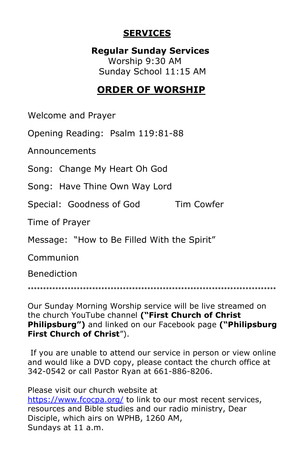## **SERVICES**

 **Regular Sunday Services** Worship 9:30 AM Sunday School 11:15 AM

# **ORDER OF WORSHIP**

Welcome and Prayer

Opening Reading: Psalm 119:81-88

Announcements

Song: Change My Heart Oh God

Song: Have Thine Own Way Lord

Special: Goodness of God Tim Cowfer

Time of Prayer

Message: "How to Be Filled With the Spirit"

Communion

Benediction

\*\*\*\*\*\*\*\*\*\*\*\*\*\*\*\*\*\*\*\*\*\*\*\*\*\*\*\*\*\*\*\*\*\*\*\*\*\*\*\*\*\*\*\*\*\*\*\*\*\*\*\*\*\*\*\*\*\*\*\*\*\*\*\*\*\*\*\*\*\*\*\*\*\*\*\*\*\*\*\*\*

Our Sunday Morning Worship service will be live streamed on the church YouTube channel **("First Church of Christ Philipsburg")** and linked on our Facebook page **("Philipsburg First Church of Christ**").

If you are unable to attend our service in person or view online and would like a DVD copy, please contact the church office at 342-0542 or call Pastor Ryan at 661-886-8206.

Please visit our church website at <https://www.fcocpa.org/> to link to our most recent services, resources and Bible studies and our radio ministry, Dear Disciple, which airs on WPHB, 1260 AM, Sundays at 11 a.m.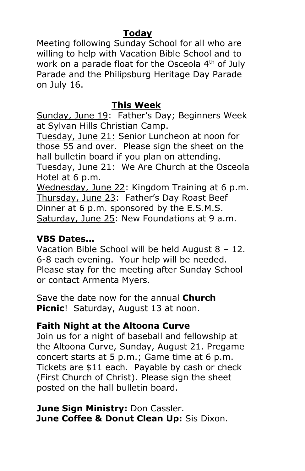## **Today**

 Meeting following Sunday School for all who are willing to help with Vacation Bible School and to work on a parade float for the Osceola 4<sup>th</sup> of July Parade and the Philipsburg Heritage Day Parade on July 16.

#### **This Week**

 Sunday, June 19: Father's Day; Beginners Week at Sylvan Hills Christian Camp.

 Tuesday, June 21: Senior Luncheon at noon for those 55 and over. Please sign the sheet on the hall bulletin board if you plan on attending.

 Tuesday, June 21: We Are Church at the Osceola Hotel at 6 p.m.

 Wednesday, June 22: Kingdom Training at 6 p.m. Thursday, June 23: Father's Day Roast Beef Dinner at 6 p.m. sponsored by the E.S.M.S. Saturday, June 25: New Foundations at 9 a.m.

## **VBS Dates…**

 Vacation Bible School will be held August 8 – 12. 6-8 each evening. Your help will be needed. Please stay for the meeting after Sunday School or contact Armenta Myers.

 Save the date now for the annual **Church Picnic**! Saturday, August 13 at noon.

#### **Faith Night at the Altoona Curve**

 Join us for a night of baseball and fellowship at the Altoona Curve, Sunday, August 21. Pregame concert starts at 5 p.m.; Game time at 6 p.m. Tickets are \$11 each. Payable by cash or check (First Church of Christ). Please sign the sheet posted on the hall bulletin board.

 **June Sign Ministry:** Don Cassler.  **June Coffee & Donut Clean Up:** Sis Dixon.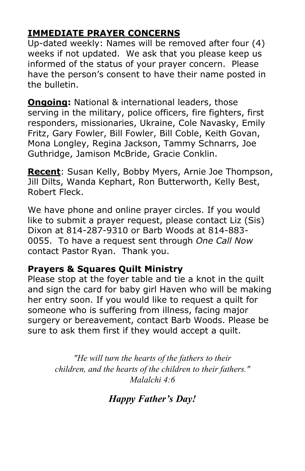# **IMMEDIATE PRAYER CONCERNS**

Up-dated weekly: Names will be removed after four (4) weeks if not updated. We ask that you please keep us informed of the status of your prayer concern. Please have the person's consent to have their name posted in the bulletin.

**Ongoing:** National & international leaders, those serving in the military, police officers, fire fighters, first responders, missionaries, Ukraine, Cole Navasky, Emily Fritz, Gary Fowler, Bill Fowler, Bill Coble, Keith Govan, Mona Longley, Regina Jackson, Tammy Schnarrs, Joe Guthridge, Jamison McBride, Gracie Conklin.

**Recent**: Susan Kelly, Bobby Myers, Arnie Joe Thompson, Jill Dilts, Wanda Kephart, Ron Butterworth, Kelly Best, Robert Fleck.

We have phone and online prayer circles. If you would like to submit a prayer request, please contact Liz (Sis) Dixon at 814-287-9310 or Barb Woods at 814-883- 0055. To have a request sent through *One Call Now* contact Pastor Ryan. Thank you.

## **Prayers & Squares Quilt Ministry**

Please stop at the foyer table and tie a knot in the quilt and sign the card for baby girl Haven who will be making her entry soon. If you would like to request a quilt for someone who is suffering from illness, facing major surgery or bereavement, contact Barb Woods. Please be sure to ask them first if they would accept a quilt.

> *"He will turn the hearts of the fathers to their children, and the hearts of the children to their fathers." Malalchi 4:6*

> > *Happy Father's Day!*